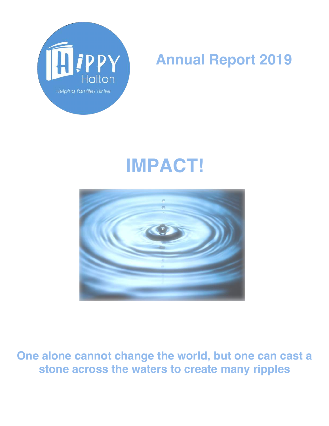

# **Annual Report 2019**

# **IMPACT!**



**One alone cannot change the world, but one can cast a stone across the waters to create many ripples**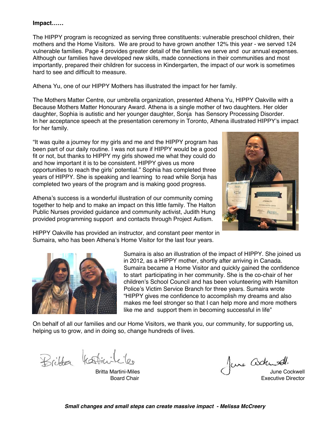#### **Impact……**

The HIPPY program is recognized as serving three constituents: vulnerable preschool children, their mothers and the Home Visitors. We are proud to have grown another 12% this year - we served 124 vulnerable families. Page 4 provides greater detail of the families we serve and our annual expenses. Although our families have developed new skills, made connections in their communities and most importantly, prepared their children for success in Kindergarten, the impact of our work is sometimes hard to see and difficult to measure.

Athena Yu, one of our HIPPY Mothers has illustrated the impact for her family.

The Mothers Matter Centre, our umbrella organization, presented Athena Yu, HIPPY Oakville with a Because Mothers Matter Honourary Award. Athena is a single mother of two daughters. Her older daughter, Sophia is autistic and her younger daughter, Sonja has Sensory Processing Disorder. In her acceptance speech at the presentation ceremony in Toronto, Athena illustrated HIPPY's impact for her family.

"It was quite a journey for my girls and me and the HIPPY program has been part of our daily routine. I was not sure if HIPPY would be a good fit or not, but thanks to HIPPY my girls showed me what they could do and how important it is to be consistent. HIPPY gives us more opportunities to reach the girls' potential." Sophia has completed three years of HIPPY. She is speaking and learning to read while Sonja has completed two years of the program and is making good progress.

Athena's success is a wonderful illustration of our community coming together to help and to make an impact on this little family. The Halton Public Nurses provided guidance and community activist, Judith Hung provided programming support and contacts through Project Autism.



HIPPY Oakville has provided an instructor, and constant peer mentor in Sumaira, who has been Athena's Home Visitor for the last four years.



 Sumaira is also an illustration of the impact of HIPPY. She joined us in 2012, as a HIPPY mother, shortly after arriving in Canada. Sumaira became a Home Visitor and quickly gained the confidence to start participating in her community. She is the co-chair of her children's School Council and has been volunteering with Hamilton Police's Victim Service Branch for three years. Sumaira wrote "HIPPY gives me confidence to accomplish my dreams and also makes me feel stronger so that I can help more and more mothers like me and support them in becoming successful in life"

On behalf of all our families and our Home Visitors, we thank you, our community, for supporting us, helping us to grow, and in doing so, change hundreds of lives.

Britten Kartinik

 Britta Martini-Miles Board Chair

June Cockwell,

Executive Director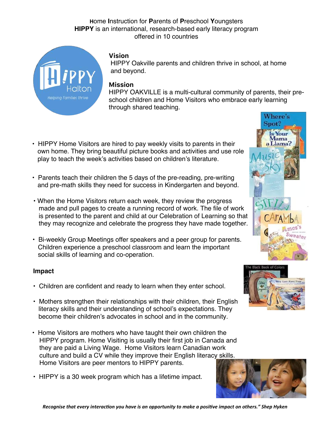#### **H**ome **I**nstruction for **P**arents of **P**reschool **Y**oungsters **HIPPY** is an international, research-based early literacy program offered in 10 countries



#### **Vision**

 HIPPY Oakville parents and children thrive in school, at home and beyond.

#### **Mission**

HIPPY OAKVILLE is a multi-cultural community of parents, their preschool children and Home Visitors who embrace early learning through shared teaching.

- HIPPY Home Visitors are hired to pay weekly visits to parents in their own home. They bring beautiful picture books and activities and use role play to teach the week's activities based on children's literature.
- Parents teach their children the 5 days of the pre-reading, pre-writing and pre-math skills they need for success in Kindergarten and beyond.
- When the Home Visitors return each week, they review the progress made and pull pages to create a running record of work. The file of work is presented to the parent and child at our Celebration of Learning so that they may recognize and celebrate the progress they have made together.
- Bi-weekly Group Meetings offer speakers and a peer group for parents. Children experience a preschool classroom and learn the important social skills of learning and co-operation.

#### **Impact**

- Children are confident and ready to learn when they enter school.
- Mothers strengthen their relationships with their children, their English literacy skills and their understanding of school's expectations. They become their children's advocates in school and in the community.
- Home Visitors are mothers who have taught their own children the HIPPY program. Home Visiting is usually their first job in Canada and they are paid a Living Wage. Home Visitors learn Canadian work culture and build a CV while they improve their English literacy skills. Home Visitors are peer mentors to HIPPY parents.
- HIPPY is a 30 week program which has a lifetime impact.





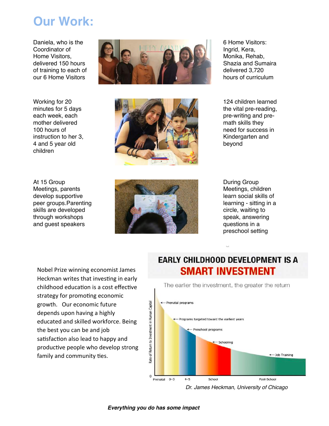### **Our Work:**

Daniela, who is the Coordinator of Home Visitors, delivered 150 hours of training to each of our 6 Home Visitors

Working for 20 minutes for 5 days each week, each mother delivered 100 hours of instruction to her 3, 4 and 5 year old children

At 15 Group Meetings, parents develop supportive peer groups.Parenting skills are developed through workshops and guest speakers







6 Home Visitors: Ingrid, Kera, Monika, Rehab, Shazia and Sumaira delivered 3,720 hours of curriculum

124 children learned the vital pre-reading, pre-writing and premath skills they need for success in Kindergarten and beyond

During Group Meetings, children learn social skills of learning - sitting in a circle, waiting to speak, answering questions in a preschool setting

Nobel Prize winning economist James Heckman writes that investing in early childhood education is a cost effective strategy for promoting economic growth. Our economic future depends upon having a highly educated and skilled workforce. Being the best you can be and job satisfaction also lead to happy and productive people who develop strong family and community ties.

### **EARLY CHILDHOOD DEVELOPMENT IS A SMART INVESTMENT**

The earlier the investment, the greater the return



*Dr. James Heckman, University of Chicago*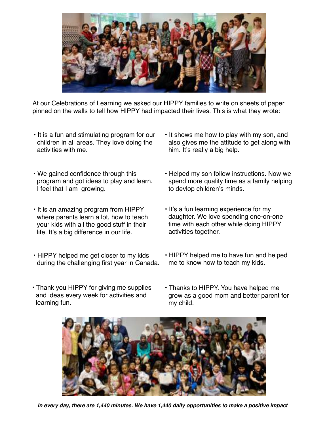

At our Celebrations of Learning we asked our HIPPY families to write on sheets of paper pinned on the walls to tell how HIPPY had impacted their lives. This is what they wrote:

- It is a fun and stimulating program for our children in all areas. They love doing the activities with me.
- We gained confidence through this program and got ideas to play and learn. I feel that I am growing.
- It is an amazing program from HIPPY where parents learn a lot, how to teach your kids with all the good stuff in their life. It's a big difference in our life.
- HIPPY helped me get closer to my kids during the challenging first year in Canada.
- It shows me how to play with my son, and also gives me the attitude to get along with him. It's really a big help.
- Helped my son follow instructions. Now we spend more quality time as a family helping to devlop children's minds.
- It's a fun learning experience for my daughter. We love spending one-on-one time with each other while doing HIPPY activities together.
- HIPPY helped me to have fun and helped me to know how to teach my kids.
- Thank you HIPPY for giving me supplies and ideas every week for activities and learning fun.
- Thanks to HIPPY. You have helped me grow as a good mom and better parent for my child.



*In every day, there are 1,440 minutes. We have 1,440 daily opportunities to make a positive impact*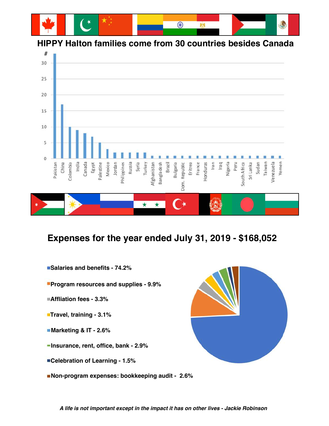

#### **HIPPY Halton families come from 30 countries besides Canada**



### **Expenses for the year ended July 31, 2019 - \$168,052**

- **Salaries and benefits 74.2%**
- **Program resources and supplies 9.9%**
- **Affliation fees 3.3%**
- **Travel, training 3.1%**
- **Marketing & IT 2.6%**
- **Insurance, rent, office, bank 2.9%**
- **Celebration of Learning 1.5%**
- **Non-program expenses: bookkeeping audit 2.6%**



*A life is not important except in the impact it has on other lives - Jackie Robinson*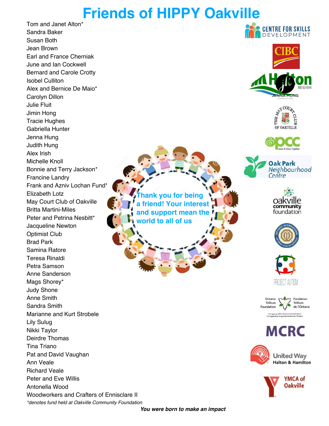## **Friends of HIPPY Oakville**

Tom and Janet Alton\* Sandra Baker Susan Both Jean Brown Earl and France Cherniak June and Ian Cockwell Bernard and Carole Crotty Isobel Culliton Alex and Bernice De Maio\* Carolyn Dillon Julie Fluit Jimin Hong Tracie Hughes Gabriella Hunter Jenna Hung Judith Hung Alex Irish Michelle Knoll Bonnie and Terry Jackson\* Francine Landry Frank and Azniv Lochan Fund\* Elizabeth Lotz May Court Club of Oakville Britta Martini-Miles Peter and Petrina Nesbitt\* Jacqueline Newton Optimist Club Brad Park Samina Ratore Teresa Rinaldi Petra Samson Anne Sanderson Mags Shorey\* Judy Shone Anne Smith Sandra Smith Marianne and Kurt Strobele Lily Sulug Nikki Taylor Deirdre Thomas Tina Triano Pat and David Vaughan Ann Veale Richard Veale Peter and Eve Willis Antonella Wood Woodworkers and Crafters of Ennisclare II *\*denotes fund held at Oakville Community Foundation*

**Thank you for being a friend! Your interest and support mean the world to all of us**



**CENTRE FOR SKILLS** 















**MCRC** 



**United Way** Halton & Hamilton



*You were born to make an impact*